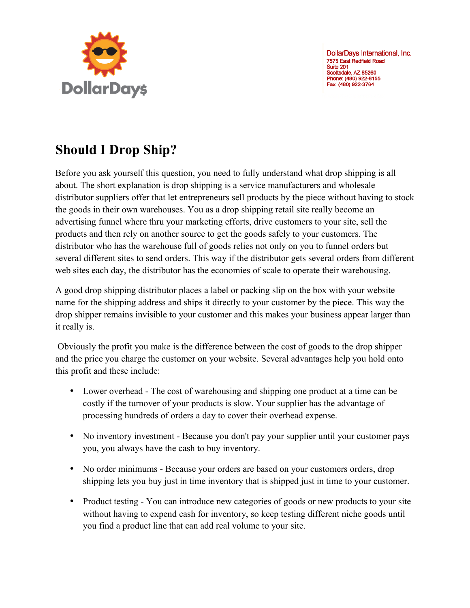

DollarDays International, Inc. 7575 East Redfield Road Suite 201 Scottsdale, AZ 85260 Phone: (480) 922-8155 Fax: (480) 922-3764

## **Should I Drop Ship?**

Before you ask yourself this question, you need to fully understand what drop shipping is all about. The short explanation is drop shipping is a service manufacturers and wholesale distributor suppliers offer that let entrepreneurs sell products by the piece without having to stock the goods in their own warehouses. You as a drop shipping retail site really become an advertising funnel where thru your marketing efforts, drive customers to your site, sell the products and then rely on another source to get the goods safely to your customers. The distributor who has the warehouse full of goods relies not only on you to funnel orders but several different sites to send orders. This way if the distributor gets several orders from different web sites each day, the distributor has the economies of scale to operate their warehousing.

A good drop shipping distributor places a label or packing slip on the box with your website name for the shipping address and ships it directly to your customer by the piece. This way the drop shipper remains invisible to your customer and this makes your business appear larger than it really is.

 Obviously the profit you make is the difference between the cost of goods to the drop shipper and the price you charge the customer on your website. Several advantages help you hold onto this profit and these include:

- Lower overhead The cost of warehousing and shipping one product at a time can be costly if the turnover of your products is slow. Your supplier has the advantage of processing hundreds of orders a day to cover their overhead expense.
- No inventory investment Because you don't pay your supplier until your customer pays you, you always have the cash to buy inventory.
- No order minimums Because your orders are based on your customers orders, drop shipping lets you buy just in time inventory that is shipped just in time to your customer.
- Product testing You can introduce new categories of goods or new products to your site without having to expend cash for inventory, so keep testing different niche goods until you find a product line that can add real volume to your site.